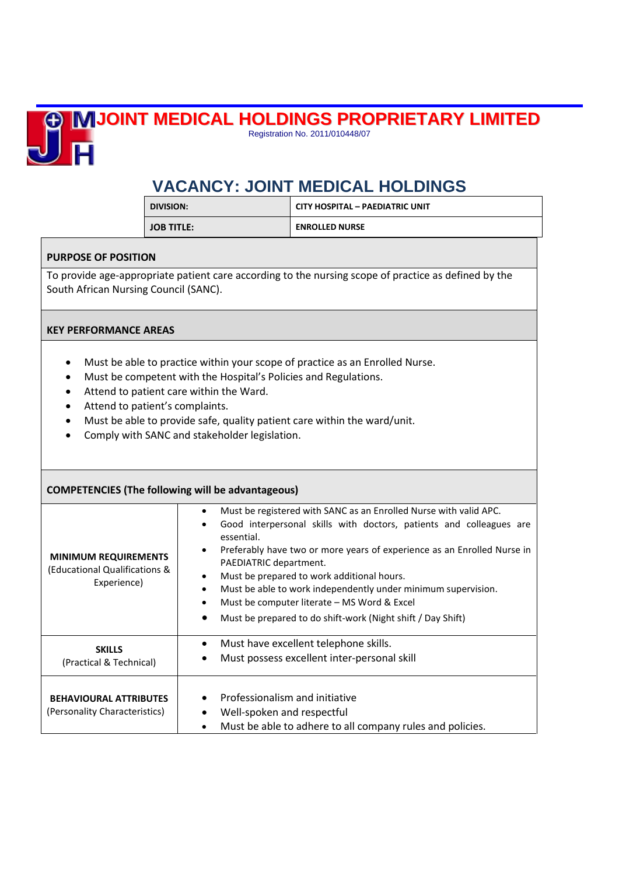## **JOINT MEDICAL HOLDINGS PROPRIETARY LIMITED**



Registration No. 2011/010448/07

## **VACANCY: JOINT MEDICAL HOLDINGS**

| DIVISION:         | <b>CITY HOSPITAL - PAEDIATRIC UNIT</b> |
|-------------------|----------------------------------------|
| <b>JOB TITLE:</b> | <b>ENROLLED NURSE</b>                  |

## **PURPOSE OF POSITION**

To provide age-appropriate patient care according to the nursing scope of practice as defined by the South African Nursing Council (SANC).

## **KEY PERFORMANCE AREAS**

- Must be able to practice within your scope of practice as an Enrolled Nurse.
- Must be competent with the Hospital's Policies and Regulations.
- Attend to patient care within the Ward.
- Attend to patient's complaints.
- Must be able to provide safe, quality patient care within the ward/unit.
- Comply with SANC and stakeholder legislation.

| <b>COMPETENCIES (The following will be advantageous)</b>                    |                                                                                                                                                                                                                                                                                                                                                                                                                                                                                                                                                                |  |  |
|-----------------------------------------------------------------------------|----------------------------------------------------------------------------------------------------------------------------------------------------------------------------------------------------------------------------------------------------------------------------------------------------------------------------------------------------------------------------------------------------------------------------------------------------------------------------------------------------------------------------------------------------------------|--|--|
| <b>MINIMUM REQUIREMENTS</b><br>(Educational Qualifications &<br>Experience) | Must be registered with SANC as an Enrolled Nurse with valid APC.<br>$\bullet$<br>Good interpersonal skills with doctors, patients and colleagues are<br>$\bullet$<br>essential.<br>Preferably have two or more years of experience as an Enrolled Nurse in<br>$\bullet$<br>PAEDIATRIC department.<br>Must be prepared to work additional hours.<br>$\bullet$<br>Must be able to work independently under minimum supervision.<br>٠<br>Must be computer literate – MS Word & Excel<br>$\bullet$<br>Must be prepared to do shift-work (Night shift / Day Shift) |  |  |
| <b>SKILLS</b><br>(Practical & Technical)                                    | Must have excellent telephone skills.<br>$\bullet$<br>Must possess excellent inter-personal skill<br>$\bullet$                                                                                                                                                                                                                                                                                                                                                                                                                                                 |  |  |
| <b>BEHAVIOURAL ATTRIBUTES</b><br>(Personality Characteristics)              | Professionalism and initiative<br>Well-spoken and respectful<br>Must be able to adhere to all company rules and policies.<br>$\bullet$                                                                                                                                                                                                                                                                                                                                                                                                                         |  |  |